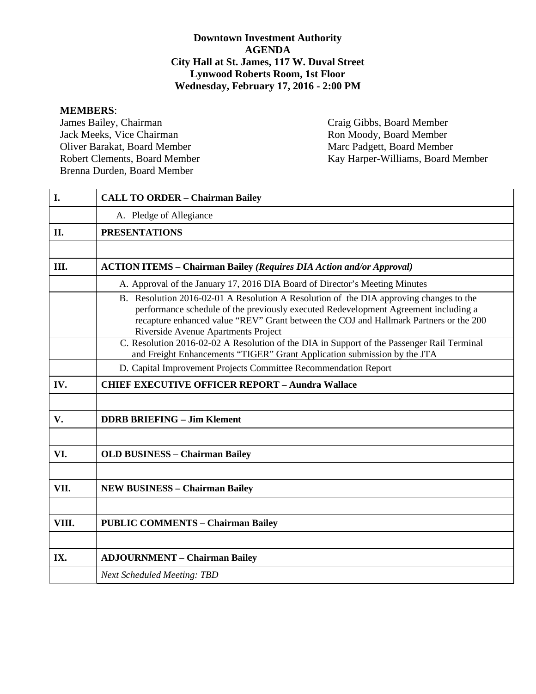## **Downtown Investment Authority AGENDA City Hall at St. James, 117 W. Duval Street Lynwood Roberts Room, 1st Floor Wednesday, February 17, 2016 - 2:00 PM**

**MEMBERS**: Jack Meeks, Vice Chairman Oliver Barakat, Board Member Marc Padgett, Board Member Brenna Durden, Board Member

Craig Gibbs, Board Member<br>Ron Moody, Board Member Robert Clements, Board Member Kay Harper-Williams, Board Member

| I.    | <b>CALL TO ORDER - Chairman Bailey</b>                                                                                                                                                                                                                                                                        |
|-------|---------------------------------------------------------------------------------------------------------------------------------------------------------------------------------------------------------------------------------------------------------------------------------------------------------------|
|       | A. Pledge of Allegiance                                                                                                                                                                                                                                                                                       |
| II.   | <b>PRESENTATIONS</b>                                                                                                                                                                                                                                                                                          |
|       |                                                                                                                                                                                                                                                                                                               |
| Ш.    | <b>ACTION ITEMS - Chairman Bailey (Requires DIA Action and/or Approval)</b>                                                                                                                                                                                                                                   |
|       | A. Approval of the January 17, 2016 DIA Board of Director's Meeting Minutes                                                                                                                                                                                                                                   |
|       | B. Resolution 2016-02-01 A Resolution A Resolution of the DIA approving changes to the<br>performance schedule of the previously executed Redevelopment Agreement including a<br>recapture enhanced value "REV" Grant between the COJ and Hallmark Partners or the 200<br>Riverside Avenue Apartments Project |
|       | C. Resolution 2016-02-02 A Resolution of the DIA in Support of the Passenger Rail Terminal<br>and Freight Enhancements "TIGER" Grant Application submission by the JTA                                                                                                                                        |
|       | D. Capital Improvement Projects Committee Recommendation Report                                                                                                                                                                                                                                               |
| IV.   | <b>CHIEF EXECUTIVE OFFICER REPORT - Aundra Wallace</b>                                                                                                                                                                                                                                                        |
|       |                                                                                                                                                                                                                                                                                                               |
| V.    | <b>DDRB BRIEFING - Jim Klement</b>                                                                                                                                                                                                                                                                            |
|       |                                                                                                                                                                                                                                                                                                               |
| VI.   | <b>OLD BUSINESS - Chairman Bailey</b>                                                                                                                                                                                                                                                                         |
|       |                                                                                                                                                                                                                                                                                                               |
| VII.  | <b>NEW BUSINESS - Chairman Bailey</b>                                                                                                                                                                                                                                                                         |
|       |                                                                                                                                                                                                                                                                                                               |
| VIII. | <b>PUBLIC COMMENTS - Chairman Bailey</b>                                                                                                                                                                                                                                                                      |
|       |                                                                                                                                                                                                                                                                                                               |
| IX.   | <b>ADJOURNMENT - Chairman Bailey</b>                                                                                                                                                                                                                                                                          |
|       | <b>Next Scheduled Meeting: TBD</b>                                                                                                                                                                                                                                                                            |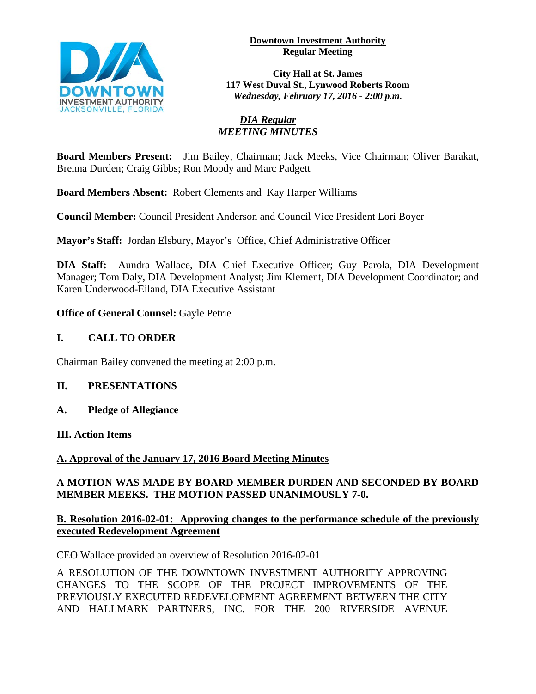

#### **Downtown Investment Authority Regular Meeting**

**City Hall at St. James 117 West Duval St., Lynwood Roberts Room** *Wednesday, February 17, 2016 - 2:00 p.m.*

## *DIA Regular MEETING MINUTES*

**Board Members Present:** Jim Bailey, Chairman; Jack Meeks, Vice Chairman; Oliver Barakat, Brenna Durden; Craig Gibbs; Ron Moody and Marc Padgett

**Board Members Absent:** Robert Clements and Kay Harper Williams

**Council Member:** Council President Anderson and Council Vice President Lori Boyer

**Mayor's Staff:** Jordan Elsbury, Mayor's Office, Chief Administrative Officer

**DIA Staff:** Aundra Wallace, DIA Chief Executive Officer; Guy Parola, DIA Development Manager; Tom Daly, DIA Development Analyst; Jim Klement, DIA Development Coordinator; and Karen Underwood-Eiland, DIA Executive Assistant

**Office of General Counsel:** Gayle Petrie

# **I. CALL TO ORDER**

Chairman Bailey convened the meeting at 2:00 p.m.

# **II. PRESENTATIONS**

**A. Pledge of Allegiance**

## **III. Action Items**

# **A. Approval of the January 17, 2016 Board Meeting Minutes**

## **A MOTION WAS MADE BY BOARD MEMBER DURDEN AND SECONDED BY BOARD MEMBER MEEKS. THE MOTION PASSED UNANIMOUSLY 7-0.**

## **B. Resolution 2016-02-01: Approving changes to the performance schedule of the previously executed Redevelopment Agreement**

CEO Wallace provided an overview of Resolution 2016-02-01

A RESOLUTION OF THE DOWNTOWN INVESTMENT AUTHORITY APPROVING CHANGES TO THE SCOPE OF THE PROJECT IMPROVEMENTS OF THE PREVIOUSLY EXECUTED REDEVELOPMENT AGREEMENT BETWEEN THE CITY AND HALLMARK PARTNERS, INC. FOR THE 200 RIVERSIDE AVENUE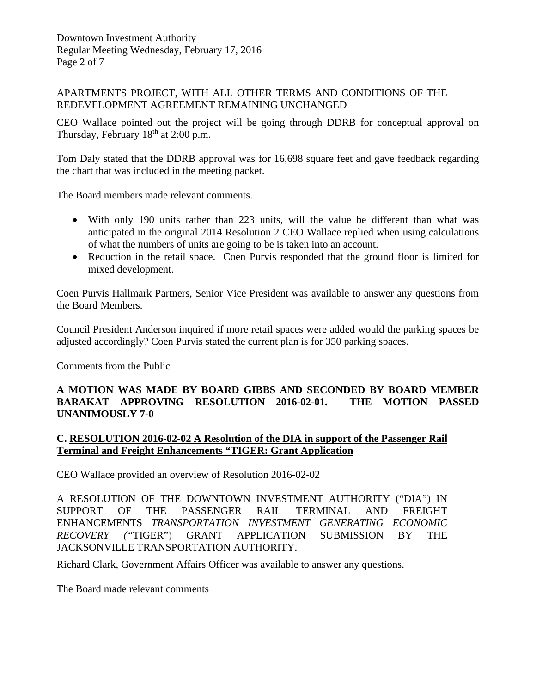## APARTMENTS PROJECT, WITH ALL OTHER TERMS AND CONDITIONS OF THE REDEVELOPMENT AGREEMENT REMAINING UNCHANGED

CEO Wallace pointed out the project will be going through DDRB for conceptual approval on Thursday, February  $18<sup>th</sup>$  at 2:00 p.m.

Tom Daly stated that the DDRB approval was for 16,698 square feet and gave feedback regarding the chart that was included in the meeting packet.

The Board members made relevant comments.

- With only 190 units rather than 223 units, will the value be different than what was anticipated in the original 2014 Resolution 2 CEO Wallace replied when using calculations of what the numbers of units are going to be is taken into an account.
- Reduction in the retail space. Coen Purvis responded that the ground floor is limited for mixed development.

Coen Purvis Hallmark Partners, Senior Vice President was available to answer any questions from the Board Members.

Council President Anderson inquired if more retail spaces were added would the parking spaces be adjusted accordingly? Coen Purvis stated the current plan is for 350 parking spaces.

Comments from the Public

## **A MOTION WAS MADE BY BOARD GIBBS AND SECONDED BY BOARD MEMBER BARAKAT APPROVING RESOLUTION 2016-02-01. THE MOTION PASSED UNANIMOUSLY 7-0**

## **C. RESOLUTION 2016-02-02 A Resolution of the DIA in support of the Passenger Rail Terminal and Freight Enhancements "TIGER: Grant Application**

CEO Wallace provided an overview of Resolution 2016-02-02

A RESOLUTION OF THE DOWNTOWN INVESTMENT AUTHORITY ("DIA") IN SUPPORT OF THE PASSENGER RAIL TERMINAL AND FREIGHT ENHANCEMENTS *TRANSPORTATION INVESTMENT GENERATING ECONOMIC RECOVERY ("*TIGER") GRANT APPLICATION SUBMISSION BY THE JACKSONVILLE TRANSPORTATION AUTHORITY.

Richard Clark, Government Affairs Officer was available to answer any questions.

The Board made relevant comments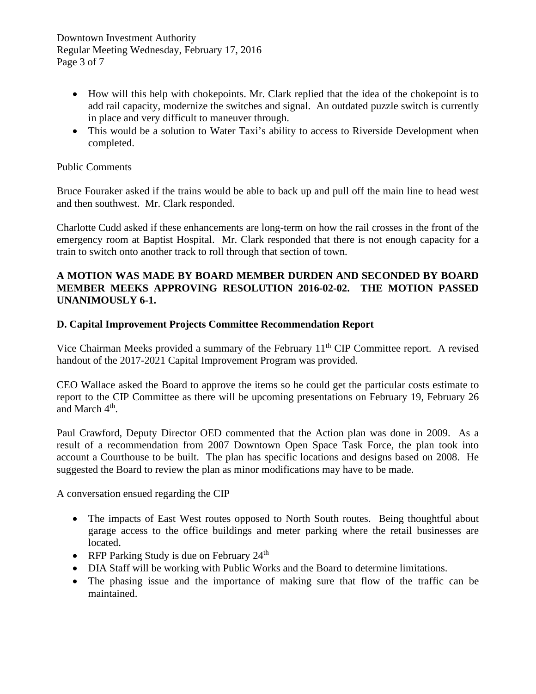Downtown Investment Authority Regular Meeting Wednesday, February 17, 2016 Page 3 of 7

- How will this help with chokepoints. Mr. Clark replied that the idea of the chokepoint is to add rail capacity, modernize the switches and signal. An outdated puzzle switch is currently in place and very difficult to maneuver through.
- This would be a solution to Water Taxi's ability to access to Riverside Development when completed.

## Public Comments

Bruce Fouraker asked if the trains would be able to back up and pull off the main line to head west and then southwest. Mr. Clark responded.

Charlotte Cudd asked if these enhancements are long-term on how the rail crosses in the front of the emergency room at Baptist Hospital. Mr. Clark responded that there is not enough capacity for a train to switch onto another track to roll through that section of town.

## **A MOTION WAS MADE BY BOARD MEMBER DURDEN AND SECONDED BY BOARD MEMBER MEEKS APPROVING RESOLUTION 2016-02-02. THE MOTION PASSED UNANIMOUSLY 6-1.**

## **D. Capital Improvement Projects Committee Recommendation Report**

Vice Chairman Meeks provided a summary of the February 11<sup>th</sup> CIP Committee report. A revised handout of the 2017-2021 Capital Improvement Program was provided.

CEO Wallace asked the Board to approve the items so he could get the particular costs estimate to report to the CIP Committee as there will be upcoming presentations on February 19, February 26 and March 4<sup>th</sup>.

Paul Crawford, Deputy Director OED commented that the Action plan was done in 2009. As a result of a recommendation from 2007 Downtown Open Space Task Force, the plan took into account a Courthouse to be built. The plan has specific locations and designs based on 2008. He suggested the Board to review the plan as minor modifications may have to be made.

A conversation ensued regarding the CIP

- The impacts of East West routes opposed to North South routes. Being thoughtful about garage access to the office buildings and meter parking where the retail businesses are located.
- RFP Parking Study is due on February 24<sup>th</sup>
- DIA Staff will be working with Public Works and the Board to determine limitations.
- The phasing issue and the importance of making sure that flow of the traffic can be maintained.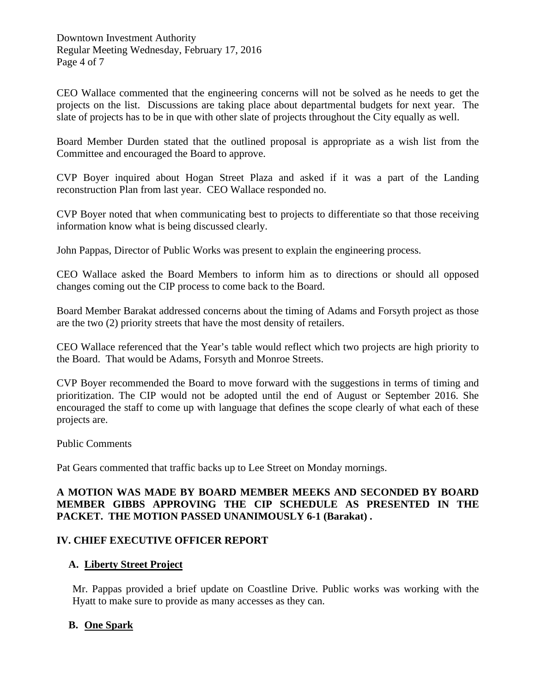Downtown Investment Authority Regular Meeting Wednesday, February 17, 2016 Page 4 of 7

CEO Wallace commented that the engineering concerns will not be solved as he needs to get the projects on the list. Discussions are taking place about departmental budgets for next year. The slate of projects has to be in que with other slate of projects throughout the City equally as well.

Board Member Durden stated that the outlined proposal is appropriate as a wish list from the Committee and encouraged the Board to approve.

CVP Boyer inquired about Hogan Street Plaza and asked if it was a part of the Landing reconstruction Plan from last year. CEO Wallace responded no.

CVP Boyer noted that when communicating best to projects to differentiate so that those receiving information know what is being discussed clearly.

John Pappas, Director of Public Works was present to explain the engineering process.

CEO Wallace asked the Board Members to inform him as to directions or should all opposed changes coming out the CIP process to come back to the Board.

Board Member Barakat addressed concerns about the timing of Adams and Forsyth project as those are the two (2) priority streets that have the most density of retailers.

CEO Wallace referenced that the Year's table would reflect which two projects are high priority to the Board. That would be Adams, Forsyth and Monroe Streets.

CVP Boyer recommended the Board to move forward with the suggestions in terms of timing and prioritization. The CIP would not be adopted until the end of August or September 2016. She encouraged the staff to come up with language that defines the scope clearly of what each of these projects are.

Public Comments

Pat Gears commented that traffic backs up to Lee Street on Monday mornings.

## **A MOTION WAS MADE BY BOARD MEMBER MEEKS AND SECONDED BY BOARD MEMBER GIBBS APPROVING THE CIP SCHEDULE AS PRESENTED IN THE PACKET. THE MOTION PASSED UNANIMOUSLY 6-1 (Barakat) .**

#### **IV. CHIEF EXECUTIVE OFFICER REPORT**

#### **A. Liberty Street Project**

 Mr. Pappas provided a brief update on Coastline Drive. Public works was working with the Hyatt to make sure to provide as many accesses as they can.

## **B. One Spark**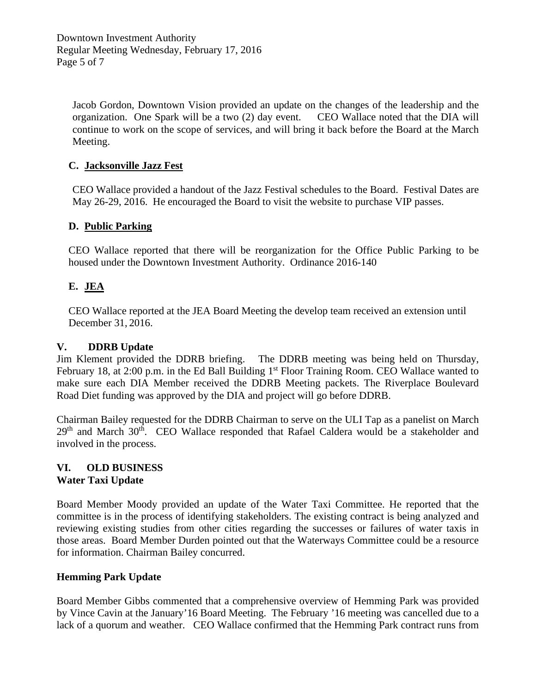Jacob Gordon, Downtown Vision provided an update on the changes of the leadership and the organization. One Spark will be a two (2) day event. CEO Wallace noted that the DIA will continue to work on the scope of services, and will bring it back before the Board at the March Meeting.

## **C. Jacksonville Jazz Fest**

 CEO Wallace provided a handout of the Jazz Festival schedules to the Board. Festival Dates are May 26-29, 2016. He encouraged the Board to visit the website to purchase VIP passes.

## **D. Public Parking**

CEO Wallace reported that there will be reorganization for the Office Public Parking to be housed under the Downtown Investment Authority. Ordinance 2016-140

## **E. JEA**

CEO Wallace reported at the JEA Board Meeting the develop team received an extension until December 31, 2016.

## **V. DDRB Update**

Jim Klement provided the DDRB briefing. The DDRB meeting was being held on Thursday, February 18, at 2:00 p.m. in the Ed Ball Building 1<sup>st</sup> Floor Training Room. CEO Wallace wanted to make sure each DIA Member received the DDRB Meeting packets. The Riverplace Boulevard Road Diet funding was approved by the DIA and project will go before DDRB.

Chairman Bailey requested for the DDRB Chairman to serve on the ULI Tap as a panelist on March 29<sup>th</sup> and March 30<sup>th</sup>. CEO Wallace responded that Rafael Caldera would be a stakeholder and involved in the process.

#### **VI. OLD BUSINESS Water Taxi Update**

Board Member Moody provided an update of the Water Taxi Committee. He reported that the committee is in the process of identifying stakeholders. The existing contract is being analyzed and reviewing existing studies from other cities regarding the successes or failures of water taxis in those areas. Board Member Durden pointed out that the Waterways Committee could be a resource for information. Chairman Bailey concurred.

## **Hemming Park Update**

Board Member Gibbs commented that a comprehensive overview of Hemming Park was provided by Vince Cavin at the January'16 Board Meeting. The February '16 meeting was cancelled due to a lack of a quorum and weather. CEO Wallace confirmed that the Hemming Park contract runs from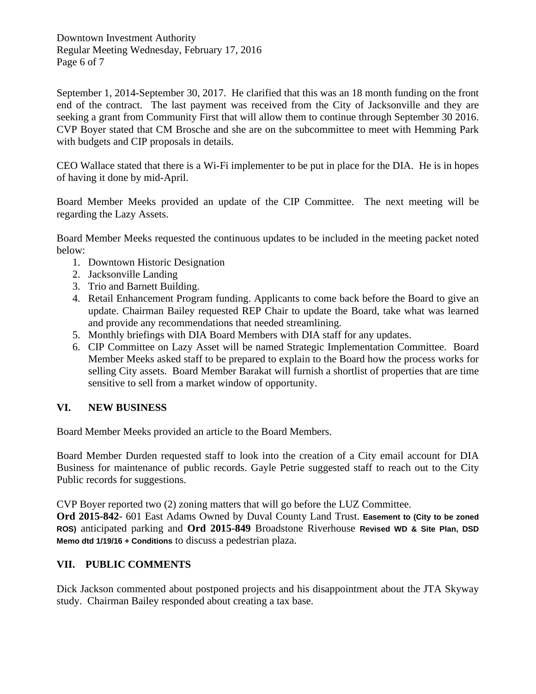Downtown Investment Authority Regular Meeting Wednesday, February 17, 2016 Page 6 of 7

September 1, 2014-September 30, 2017. He clarified that this was an 18 month funding on the front end of the contract. The last payment was received from the City of Jacksonville and they are seeking a grant from Community First that will allow them to continue through September 30 2016. CVP Boyer stated that CM Brosche and she are on the subcommittee to meet with Hemming Park with budgets and CIP proposals in details.

CEO Wallace stated that there is a Wi-Fi implementer to be put in place for the DIA. He is in hopes of having it done by mid-April.

Board Member Meeks provided an update of the CIP Committee. The next meeting will be regarding the Lazy Assets.

Board Member Meeks requested the continuous updates to be included in the meeting packet noted below:

- 1. Downtown Historic Designation
- 2. Jacksonville Landing
- 3. Trio and Barnett Building.
- 4. Retail Enhancement Program funding. Applicants to come back before the Board to give an update. Chairman Bailey requested REP Chair to update the Board, take what was learned and provide any recommendations that needed streamlining.
- 5. Monthly briefings with DIA Board Members with DIA staff for any updates.
- 6. CIP Committee on Lazy Asset will be named Strategic Implementation Committee. Board Member Meeks asked staff to be prepared to explain to the Board how the process works for selling City assets. Board Member Barakat will furnish a shortlist of properties that are time sensitive to sell from a market window of opportunity.

## **VI. NEW BUSINESS**

Board Member Meeks provided an article to the Board Members.

Board Member Durden requested staff to look into the creation of a City email account for DIA Business for maintenance of public records. Gayle Petrie suggested staff to reach out to the City Public records for suggestions.

CVP Boyer reported two (2) zoning matters that will go before the LUZ Committee.

**Ord 2015-842**- 601 East Adams Owned by Duval County Land Trust. **Easement to (City to be zoned ROS)** anticipated parking and **Ord 2015-849** Broadstone Riverhouse **Revised WD & Site Plan, DSD Memo dtd 1/19/16 + Conditions** to discuss a pedestrian plaza.

## **VII. PUBLIC COMMENTS**

Dick Jackson commented about postponed projects and his disappointment about the JTA Skyway study. Chairman Bailey responded about creating a tax base.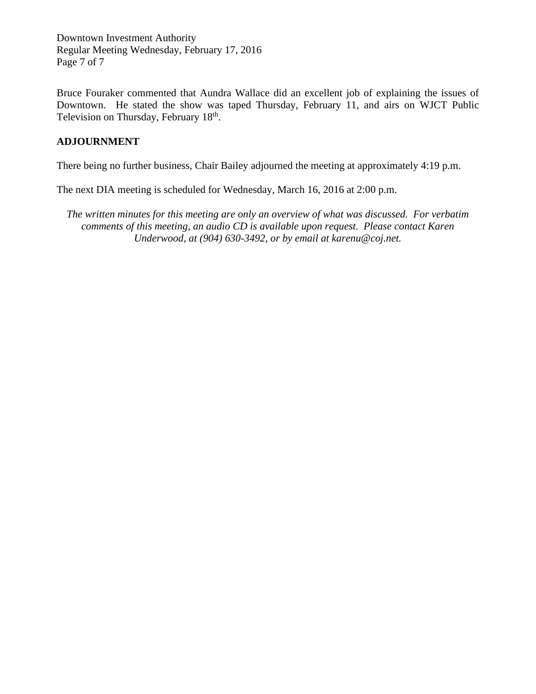Downtown Investment Authority Regular Meeting Wednesday, February 17, 2016 Page 7 of 7

Bruce Fouraker commented that Aundra Wallace did an excellent job of explaining the issues of Downtown. He stated the show was taped Thursday, February 11, and airs on WJCT Public Television on Thursday, February 18<sup>th</sup>.

## **ADJOURNMENT**

There being no further business, Chair Bailey adjourned the meeting at approximately 4:19 p.m.

The next DIA meeting is scheduled for Wednesday, March 16, 2016 at 2:00 p.m.

*The written minutes for this meeting are only an overview of what was discussed. For verbatim comments of this meeting, an audio CD is available upon request. Please contact Karen Underwood, at (904) 630-3492, or by email at karenu@coj.net.*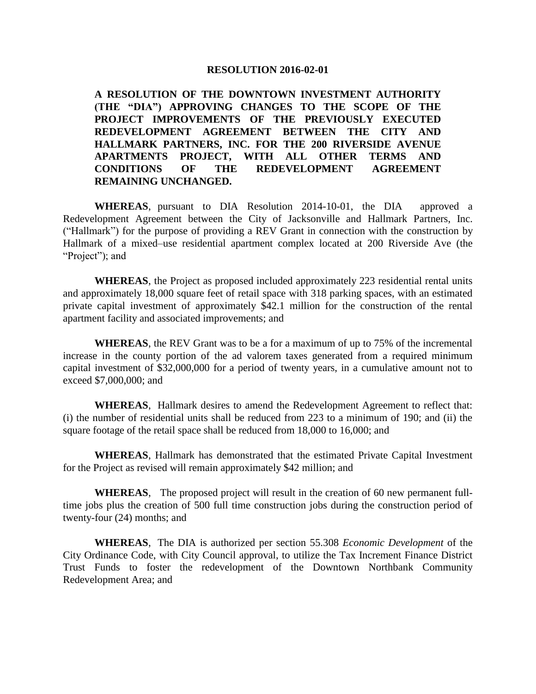#### **RESOLUTION 2016-02-01**

**A RESOLUTION OF THE DOWNTOWN INVESTMENT AUTHORITY (THE "DIA") APPROVING CHANGES TO THE SCOPE OF THE PROJECT IMPROVEMENTS OF THE PREVIOUSLY EXECUTED REDEVELOPMENT AGREEMENT BETWEEN THE CITY AND HALLMARK PARTNERS, INC. FOR THE 200 RIVERSIDE AVENUE APARTMENTS PROJECT, WITH ALL OTHER TERMS AND CONDITIONS OF THE REDEVELOPMENT AGREEMENT REMAINING UNCHANGED.**

**WHEREAS**, pursuant to DIA Resolution 2014-10-01, the DIA approved a Redevelopment Agreement between the City of Jacksonville and Hallmark Partners, Inc. ("Hallmark") for the purpose of providing a REV Grant in connection with the construction by Hallmark of a mixed–use residential apartment complex located at 200 Riverside Ave (the "Project"); and

**WHEREAS**, the Project as proposed included approximately 223 residential rental units and approximately 18,000 square feet of retail space with 318 parking spaces, with an estimated private capital investment of approximately \$42.1 million for the construction of the rental apartment facility and associated improvements; and

**WHEREAS**, the REV Grant was to be a for a maximum of up to 75% of the incremental increase in the county portion of the ad valorem taxes generated from a required minimum capital investment of \$32,000,000 for a period of twenty years, in a cumulative amount not to exceed \$7,000,000; and

**WHEREAS**, Hallmark desires to amend the Redevelopment Agreement to reflect that: (i) the number of residential units shall be reduced from 223 to a minimum of 190; and (ii) the square footage of the retail space shall be reduced from 18,000 to 16,000; and

**WHEREAS**, Hallmark has demonstrated that the estimated Private Capital Investment for the Project as revised will remain approximately \$42 million; and

**WHEREAS**, The proposed project will result in the creation of 60 new permanent fulltime jobs plus the creation of 500 full time construction jobs during the construction period of twenty-four (24) months; and

**WHEREAS**, The DIA is authorized per section 55.308 *Economic Development* of the City Ordinance Code, with City Council approval, to utilize the Tax Increment Finance District Trust Funds to foster the redevelopment of the Downtown Northbank Community Redevelopment Area; and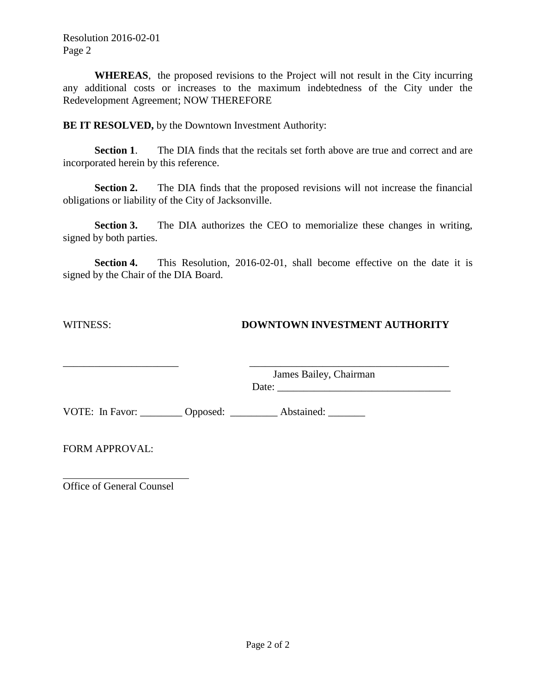Resolution 2016-02-01 Page 2

**WHEREAS**, the proposed revisions to the Project will not result in the City incurring any additional costs or increases to the maximum indebtedness of the City under the Redevelopment Agreement; NOW THEREFORE

**BE IT RESOLVED,** by the Downtown Investment Authority:

**Section 1**. The DIA finds that the recitals set forth above are true and correct and are incorporated herein by this reference.

**Section 2.** The DIA finds that the proposed revisions will not increase the financial obligations or liability of the City of Jacksonville.

**Section 3.** The DIA authorizes the CEO to memorialize these changes in writing, signed by both parties.

**Section 4.** This Resolution, 2016-02-01, shall become effective on the date it is signed by the Chair of the DIA Board.

## WITNESS: **DOWNTOWN INVESTMENT AUTHORITY**

\_\_\_\_\_\_\_\_\_\_\_\_\_\_\_\_\_\_\_\_\_\_ \_\_\_\_\_\_\_\_\_\_\_\_\_\_\_\_\_\_\_\_\_\_\_\_\_\_\_\_\_\_\_\_\_\_\_\_\_\_ James Bailey, Chairman

Date: \_\_\_\_\_\_\_\_\_\_\_\_\_\_\_\_\_\_\_\_\_\_\_\_\_\_\_\_\_\_\_\_\_

VOTE: In Favor: \_\_\_\_\_\_\_\_ Opposed: \_\_\_\_\_\_\_\_\_ Abstained: \_\_\_\_\_\_\_

FORM APPROVAL:

Office of General Counsel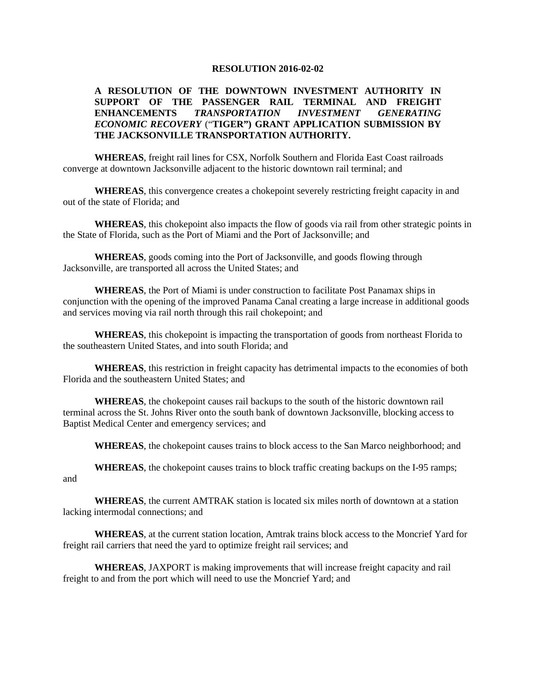#### **RESOLUTION 2016-02-02**

#### **A RESOLUTION OF THE DOWNTOWN INVESTMENT AUTHORITY IN SUPPORT OF THE PASSENGER RAIL TERMINAL AND FREIGHT ENHANCEMENTS** *TRANSPORTATION INVESTMENT GENERATING ECONOMIC RECOVERY* ("**TIGER") GRANT APPLICATION SUBMISSION BY THE JACKSONVILLE TRANSPORTATION AUTHORITY.**

**WHEREAS**, freight rail lines for CSX, Norfolk Southern and Florida East Coast railroads converge at downtown Jacksonville adjacent to the historic downtown rail terminal; and

**WHEREAS**, this convergence creates a chokepoint severely restricting freight capacity in and out of the state of Florida; and

**WHEREAS**, this chokepoint also impacts the flow of goods via rail from other strategic points in the State of Florida, such as the Port of Miami and the Port of Jacksonville; and

**WHEREAS**, goods coming into the Port of Jacksonville, and goods flowing through Jacksonville, are transported all across the United States; and

**WHEREAS**, the Port of Miami is under construction to facilitate Post Panamax ships in conjunction with the opening of the improved Panama Canal creating a large increase in additional goods and services moving via rail north through this rail chokepoint; and

**WHEREAS**, this chokepoint is impacting the transportation of goods from northeast Florida to the southeastern United States, and into south Florida; and

**WHEREAS**, this restriction in freight capacity has detrimental impacts to the economies of both Florida and the southeastern United States; and

**WHEREAS**, the chokepoint causes rail backups to the south of the historic downtown rail terminal across the St. Johns River onto the south bank of downtown Jacksonville, blocking access to Baptist Medical Center and emergency services; and

**WHEREAS**, the chokepoint causes trains to block access to the San Marco neighborhood; and

**WHEREAS**, the chokepoint causes trains to block traffic creating backups on the I-95 ramps; and

**WHEREAS**, the current AMTRAK station is located six miles north of downtown at a station lacking intermodal connections; and

**WHEREAS**, at the current station location, Amtrak trains block access to the Moncrief Yard for freight rail carriers that need the yard to optimize freight rail services; and

**WHEREAS**, JAXPORT is making improvements that will increase freight capacity and rail freight to and from the port which will need to use the Moncrief Yard; and